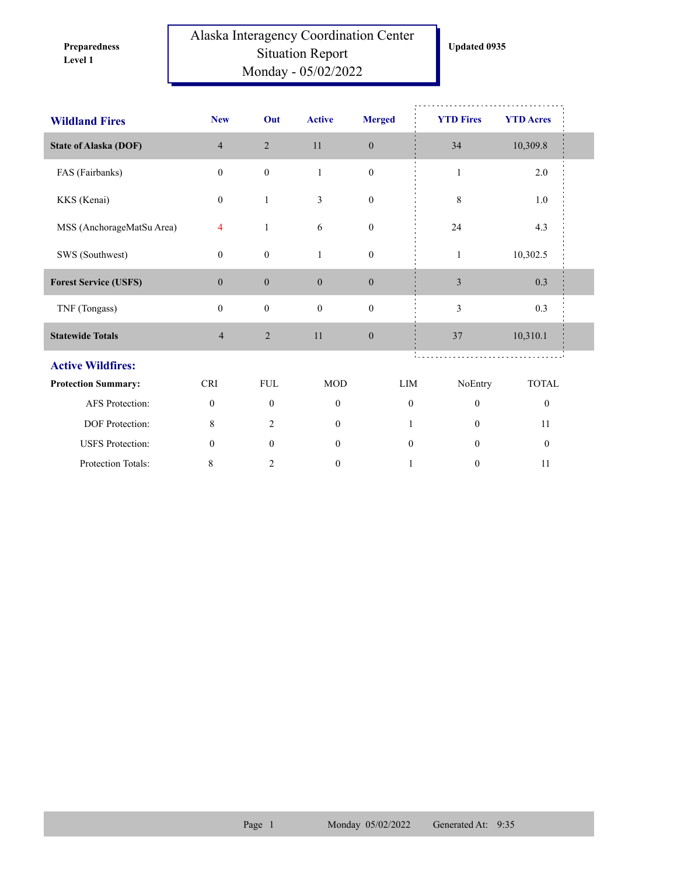**Level 1 Preparedness** 

## Alaska Interagency Coordination Center Situation Report Monday - 05/02/2022

| <b>Wildland Fires</b>        | <b>New</b>     | Out              | <b>Active</b>    | <b>Merged</b>    | <b>YTD Fires</b> | <b>YTD</b> Acres |  |
|------------------------------|----------------|------------------|------------------|------------------|------------------|------------------|--|
| <b>State of Alaska (DOF)</b> | $\overline{4}$ | $\overline{2}$   | 11               | $\mathbf{0}$     | 34               | 10,309.8         |  |
| FAS (Fairbanks)              | $\mathbf{0}$   | $\boldsymbol{0}$ | $\,1$            | $\boldsymbol{0}$ | $\mathbf{1}$     | 2.0              |  |
| KKS (Kenai)                  | $\mathbf{0}$   | $\mathbf{1}$     | 3                | $\boldsymbol{0}$ | 8                | 1.0              |  |
| MSS (AnchorageMatSu Area)    | $\overline{4}$ | $\mathbf{1}$     | 6                | $\boldsymbol{0}$ | 24               | 4.3              |  |
| SWS (Southwest)              | $\mathbf{0}$   | $\boldsymbol{0}$ | $\mathbf{1}$     | $\boldsymbol{0}$ | $\mathbf{1}$     | 10,302.5         |  |
| <b>Forest Service (USFS)</b> | $\mathbf{0}$   | $\boldsymbol{0}$ | $\boldsymbol{0}$ | $\boldsymbol{0}$ | $\mathfrak{Z}$   | 0.3              |  |
| TNF (Tongass)                | $\mathbf{0}$   | $\boldsymbol{0}$ | $\boldsymbol{0}$ | $\boldsymbol{0}$ | 3                | 0.3              |  |
| <b>Statewide Totals</b>      | $\overline{4}$ | $\sqrt{2}$       | 11               | $\boldsymbol{0}$ | 37               | 10,310.1         |  |
| <b>Active Wildfires:</b>     |                |                  |                  |                  |                  |                  |  |
| <b>Protection Summary:</b>   | <b>CRI</b>     | <b>FUL</b>       | <b>MOD</b>       | LIM              | NoEntry          | <b>TOTAL</b>     |  |
| AFS Protection:              | $\mathbf{0}$   | $\boldsymbol{0}$ | $\boldsymbol{0}$ | $\boldsymbol{0}$ | $\boldsymbol{0}$ | $\boldsymbol{0}$ |  |
| DOF Protection:              | 8              | $\overline{2}$   | $\mathbf{0}$     | $\mathbf{1}$     | $\mathbf{0}$     | 11               |  |
| <b>USFS</b> Protection:      | $\mathbf{0}$   | $\mathbf{0}$     | $\mathbf{0}$     | $\mathbf{0}$     | $\mathbf{0}$     | $\boldsymbol{0}$ |  |
| Protection Totals:           | $\,8\,$        | 2                | $\boldsymbol{0}$ | $\mathbf{1}$     | $\boldsymbol{0}$ | 11               |  |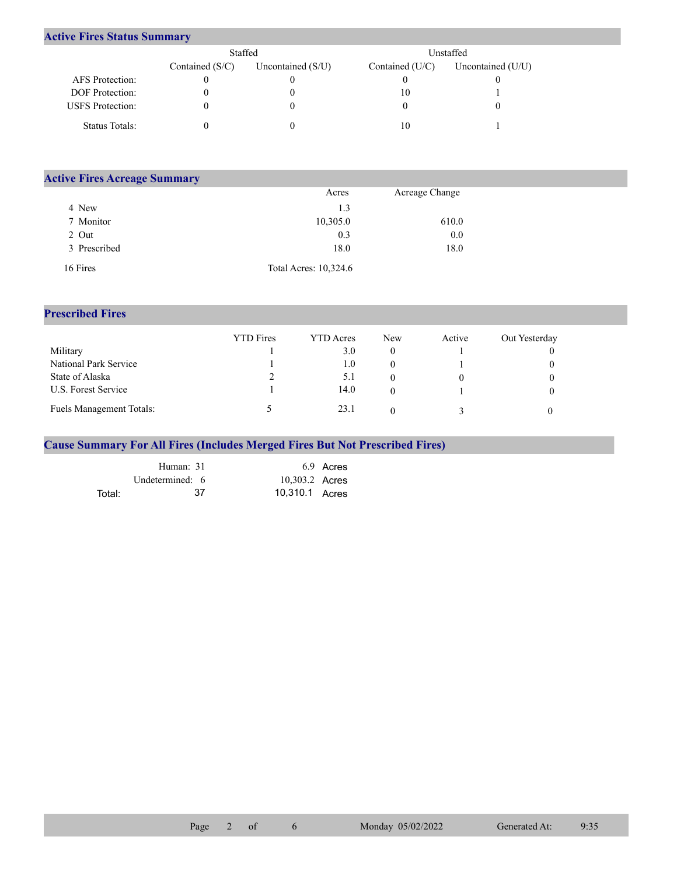## **Active Fires Status Summary**

|                         | Staffed           |                     | Unstaffed         |                     |  |  |
|-------------------------|-------------------|---------------------|-------------------|---------------------|--|--|
|                         | Contained $(S/C)$ | Uncontained $(S/U)$ | Contained $(U/C)$ | Uncontained $(U/U)$ |  |  |
| AFS Protection:         |                   |                     |                   |                     |  |  |
| <b>DOF</b> Protection:  |                   |                     | 10                |                     |  |  |
| <b>USFS</b> Protection: |                   |                     |                   |                     |  |  |
| Status Totals:          |                   |                     | 10                |                     |  |  |

| <b>Active Fires Acreage Summary</b> |                       |                |  |  |  |  |  |
|-------------------------------------|-----------------------|----------------|--|--|--|--|--|
|                                     | Acres                 | Acreage Change |  |  |  |  |  |
| 4 New                               | 1.3                   |                |  |  |  |  |  |
| 7 Monitor                           | 10,305.0              | 610.0          |  |  |  |  |  |
| 2 Out                               | 0.3                   | 0.0            |  |  |  |  |  |
| 3 Prescribed                        | 18.0                  | 18.0           |  |  |  |  |  |
| 16 Fires                            | Total Acres: 10,324.6 |                |  |  |  |  |  |

## **Prescribed Fires**

|                                 | <b>YTD</b> Fires | <b>YTD</b> Acres | New | Active | Out Yesterday |
|---------------------------------|------------------|------------------|-----|--------|---------------|
| Military                        |                  | 3.0              | 0   |        |               |
| National Park Service           |                  | 1.0              |     |        |               |
| State of Alaska                 |                  | 5.1              |     |        |               |
| U.S. Forest Service             |                  | 14.0             |     |        |               |
| <b>Fuels Management Totals:</b> |                  | 23.1             |     |        |               |

## **Cause Summary For All Fires (Includes Merged Fires But Not Prescribed Fires)**

|        | Human: 31       | 6.9 Acres      |
|--------|-----------------|----------------|
|        | Undetermined: 6 | 10,303.2 Acres |
| Total: | -37             | 10,310.1 Acres |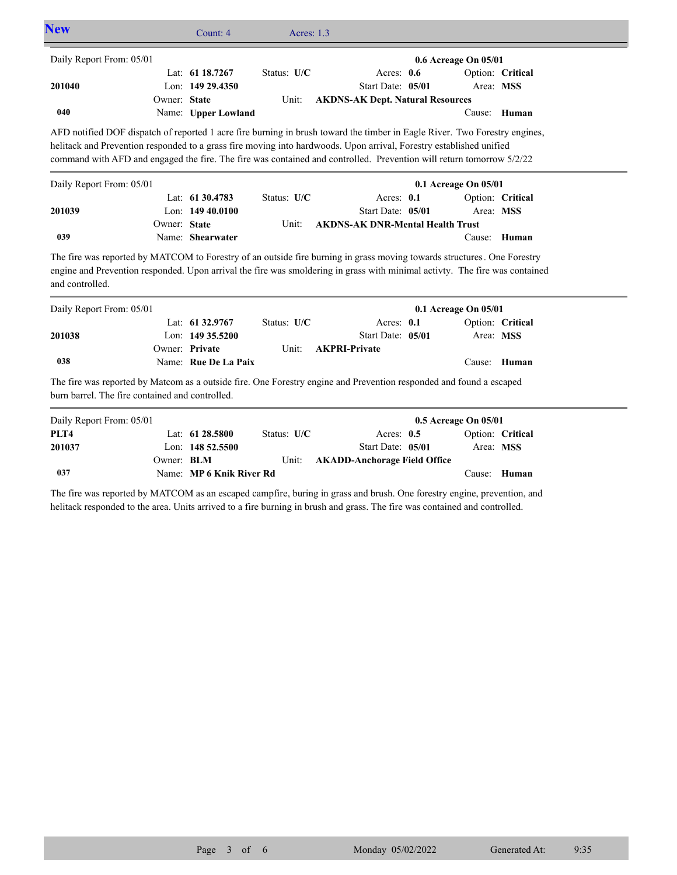| <b>New</b>                                      |              | Count: 4                                              | Acres: 1.3           |                                                                                                                                                                                                                                                                                                                                                                           |                      |                  |  |
|-------------------------------------------------|--------------|-------------------------------------------------------|----------------------|---------------------------------------------------------------------------------------------------------------------------------------------------------------------------------------------------------------------------------------------------------------------------------------------------------------------------------------------------------------------------|----------------------|------------------|--|
| Daily Report From: 05/01                        |              |                                                       |                      |                                                                                                                                                                                                                                                                                                                                                                           | 0.6 Acreage On 05/01 |                  |  |
| 201040                                          | Owner: State | Lat: 61 18.7267<br>Lon: 149 29.4350                   | Status: U/C          | Acres: 0.6<br>Start Date: 05/01                                                                                                                                                                                                                                                                                                                                           | Area: MSS            | Option: Critical |  |
| 040                                             |              | Name: Upper Lowland                                   | Unit:                | <b>AKDNS-AK Dept. Natural Resources</b>                                                                                                                                                                                                                                                                                                                                   | Cause:               | Human            |  |
|                                                 |              |                                                       |                      | AFD notified DOF dispatch of reported 1 acre fire burning in brush toward the timber in Eagle River. Two Forestry engines,<br>helitack and Prevention responded to a grass fire moving into hardwoods. Upon arrival, Forestry established unified<br>command with AFD and engaged the fire. The fire was contained and controlled. Prevention will return tomorrow 5/2/22 |                      |                  |  |
| Daily Report From: 05/01                        |              |                                                       |                      |                                                                                                                                                                                                                                                                                                                                                                           | 0.1 Acreage On 05/01 |                  |  |
| 201039                                          | Owner: State | Lat: 61 30.4783<br>Lon: 149 40.0100                   | Status: U/C<br>Unit: | Acres: 0.1<br>Start Date: 05/01<br><b>AKDNS-AK DNR-Mental Health Trust</b>                                                                                                                                                                                                                                                                                                | Area: MSS            | Option: Critical |  |
| 039                                             |              | Name: Shearwater                                      |                      |                                                                                                                                                                                                                                                                                                                                                                           |                      | Cause: Human     |  |
| and controlled.                                 |              |                                                       |                      | The fire was reported by MATCOM to Forestry of an outside fire burning in grass moving towards structures. One Forestry<br>engine and Prevention responded. Upon arrival the fire was smoldering in grass with minimal activty. The fire was contained                                                                                                                    |                      |                  |  |
| Daily Report From: 05/01                        |              |                                                       |                      |                                                                                                                                                                                                                                                                                                                                                                           | 0.1 Acreage On 05/01 |                  |  |
| 201038                                          |              | Lat: 61 32.9767<br>Lon: 149 35.5200<br>Owner: Private | Status: U/C<br>Unit: | Acres: 0.1<br>Start Date: 05/01<br><b>AKPRI-Private</b>                                                                                                                                                                                                                                                                                                                   | Area: MSS            | Option: Critical |  |
| 038                                             |              | Name: Rue De La Paix                                  |                      |                                                                                                                                                                                                                                                                                                                                                                           | Cause:               | Human            |  |
| burn barrel. The fire contained and controlled. |              |                                                       |                      | The fire was reported by Matcom as a outside fire. One Forestry engine and Prevention responded and found a escaped                                                                                                                                                                                                                                                       |                      |                  |  |
| Daily Report From: 05/01                        |              |                                                       |                      |                                                                                                                                                                                                                                                                                                                                                                           | 0.5 Acreage On 05/01 |                  |  |
| PLT4<br>201037                                  |              | Lat: 61 28.5800<br>Lon: 148 52.5500                   | Status: U/C          | Acres: 0.5<br>Start Date: 05/01                                                                                                                                                                                                                                                                                                                                           | Area: MSS            | Option: Critical |  |
| 037                                             | Owner: BLM   | Name: MP 6 Knik River Rd                              | Unit:                | <b>AKADD-Anchorage Field Office</b>                                                                                                                                                                                                                                                                                                                                       |                      | Cause: Human     |  |

The fire was reported by MATCOM as an escaped campfire, buring in grass and brush. One forestry engine, prevention, and helitack responded to the area. Units arrived to a fire burning in brush and grass. The fire was contained and controlled.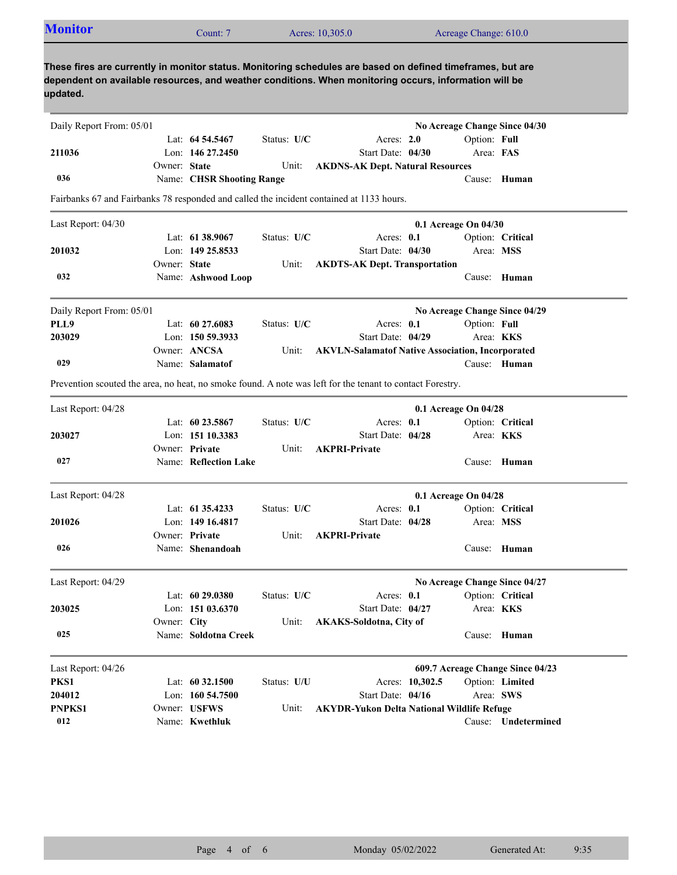| <b>Monitor</b>                                                                                                                                                                                                                  |              | Count: 7                  |               | Acres: 10,305.0                                                                                           |                 | Acreage Change: 610.0 |                                  |
|---------------------------------------------------------------------------------------------------------------------------------------------------------------------------------------------------------------------------------|--------------|---------------------------|---------------|-----------------------------------------------------------------------------------------------------------|-----------------|-----------------------|----------------------------------|
| These fires are currently in monitor status. Monitoring schedules are based on defined timeframes, but are<br>dependent on available resources, and weather conditions. When monitoring occurs, information will be<br>updated. |              |                           |               |                                                                                                           |                 |                       |                                  |
| Daily Report From: 05/01                                                                                                                                                                                                        |              |                           |               |                                                                                                           |                 |                       | No Acreage Change Since 04/30    |
|                                                                                                                                                                                                                                 |              | Lat: 64 54.5467           | Status: U/C   | Acres: 2.0                                                                                                |                 | Option: Full          |                                  |
| 211036                                                                                                                                                                                                                          |              | Lon: $14627.2450$         |               | Start Date: 04/30                                                                                         |                 | Area: FAS             |                                  |
|                                                                                                                                                                                                                                 | Owner: State |                           | Unit:         | <b>AKDNS-AK Dept. Natural Resources</b>                                                                   |                 |                       |                                  |
| 036                                                                                                                                                                                                                             |              | Name: CHSR Shooting Range |               |                                                                                                           |                 |                       | Cause: Human                     |
|                                                                                                                                                                                                                                 |              |                           |               | Fairbanks 67 and Fairbanks 78 responded and called the incident contained at 1133 hours.                  |                 |                       |                                  |
| Last Report: 04/30                                                                                                                                                                                                              |              |                           |               |                                                                                                           |                 | 0.1 Acreage On 04/30  |                                  |
|                                                                                                                                                                                                                                 |              | Lat: 61 38.9067           | Status: U/C   | Acres: 0.1                                                                                                |                 |                       | Option: Critical                 |
| 201032                                                                                                                                                                                                                          |              | Lon: 149 25.8533          |               | Start Date: 04/30                                                                                         |                 |                       | Area: MSS                        |
|                                                                                                                                                                                                                                 | Owner: State |                           | Unit:         | <b>AKDTS-AK Dept. Transportation</b>                                                                      |                 |                       |                                  |
| 032                                                                                                                                                                                                                             |              | Name: Ashwood Loop        |               |                                                                                                           |                 |                       | Cause: Human                     |
| Daily Report From: 05/01                                                                                                                                                                                                        |              |                           |               |                                                                                                           |                 |                       | No Acreage Change Since 04/29    |
| PLL9                                                                                                                                                                                                                            |              | Lat: $60\,27.6083$        | Status: U/C   | Acres: $0.1$                                                                                              |                 | Option: Full          |                                  |
| 203029                                                                                                                                                                                                                          |              | Lon: 150 59.3933          |               | Start Date: 04/29                                                                                         |                 |                       | Area: KKS                        |
|                                                                                                                                                                                                                                 |              | Owner: ANCSA              | Unit:         | <b>AKVLN-Salamatof Native Association, Incorporated</b>                                                   |                 |                       |                                  |
| 029                                                                                                                                                                                                                             |              | Name: Salamatof           |               |                                                                                                           |                 |                       | Cause: Human                     |
|                                                                                                                                                                                                                                 |              |                           |               | Prevention scouted the area, no heat, no smoke found. A note was left for the tenant to contact Forestry. |                 |                       |                                  |
|                                                                                                                                                                                                                                 |              |                           |               |                                                                                                           |                 |                       |                                  |
| Last Report: 04/28                                                                                                                                                                                                              |              |                           |               |                                                                                                           |                 | 0.1 Acreage On 04/28  |                                  |
|                                                                                                                                                                                                                                 |              | Lat: $60\,23.5867$        | Status: $U/C$ | Acres: 0.1                                                                                                |                 |                       | Option: Critical                 |
| 203027                                                                                                                                                                                                                          |              | Lon: 151 10.3383          |               | Start Date: 04/28                                                                                         |                 |                       | Area: KKS                        |
|                                                                                                                                                                                                                                 |              | Owner: Private            | Unit:         | <b>AKPRI-Private</b>                                                                                      |                 |                       |                                  |
| 027                                                                                                                                                                                                                             |              | Name: Reflection Lake     |               |                                                                                                           |                 |                       | Cause: Human                     |
| Last Report: 04/28                                                                                                                                                                                                              |              |                           |               |                                                                                                           |                 | 0.1 Acreage On 04/28  |                                  |
|                                                                                                                                                                                                                                 |              | Lat: 61 35.4233           | Status: U/C   | Acres: 0.1                                                                                                |                 |                       | Option: Critical                 |
| 201026                                                                                                                                                                                                                          |              | Lon: 149 16.4817          |               | Start Date: 04/28                                                                                         |                 |                       | Area: MSS                        |
|                                                                                                                                                                                                                                 |              | Owner: Private            | Unit:         | <b>AKPRI-Private</b>                                                                                      |                 |                       |                                  |
| 026                                                                                                                                                                                                                             |              | Name: Shenandoah          |               |                                                                                                           |                 |                       | Cause: Human                     |
| Last Report: 04/29                                                                                                                                                                                                              |              |                           |               |                                                                                                           |                 |                       | No Acreage Change Since 04/27    |
|                                                                                                                                                                                                                                 |              | Lat: $6029.0380$          | Status: U/C   | Acres: 0.1                                                                                                |                 |                       | Option: Critical                 |
| 203025                                                                                                                                                                                                                          |              | Lon: 151 03.6370          |               | Start Date: 04/27                                                                                         |                 |                       | Area: KKS                        |
|                                                                                                                                                                                                                                 | Owner: City  |                           | Unit:         | AKAKS-Soldotna, City of                                                                                   |                 |                       |                                  |
| 025                                                                                                                                                                                                                             |              | Name: Soldotna Creek      |               |                                                                                                           |                 |                       | Cause: Human                     |
|                                                                                                                                                                                                                                 |              |                           |               |                                                                                                           |                 |                       |                                  |
| Last Report: 04/26                                                                                                                                                                                                              |              |                           |               |                                                                                                           |                 |                       | 609.7 Acreage Change Since 04/23 |
| PKS1                                                                                                                                                                                                                            |              | Lat: $60\,32.1500$        | Status: U/U   |                                                                                                           | Acres: 10,302.5 |                       | Option: Limited                  |
| 204012                                                                                                                                                                                                                          |              | Lon: $160\,54.7500$       |               | Start Date: 04/16                                                                                         |                 |                       | Area: SWS                        |
| PNPKS1                                                                                                                                                                                                                          |              | Owner: USFWS              | Unit:         | <b>AKYDR-Yukon Delta National Wildlife Refuge</b>                                                         |                 |                       |                                  |
| 012                                                                                                                                                                                                                             |              | Name: Kwethluk            |               |                                                                                                           |                 |                       | Cause: Undetermined              |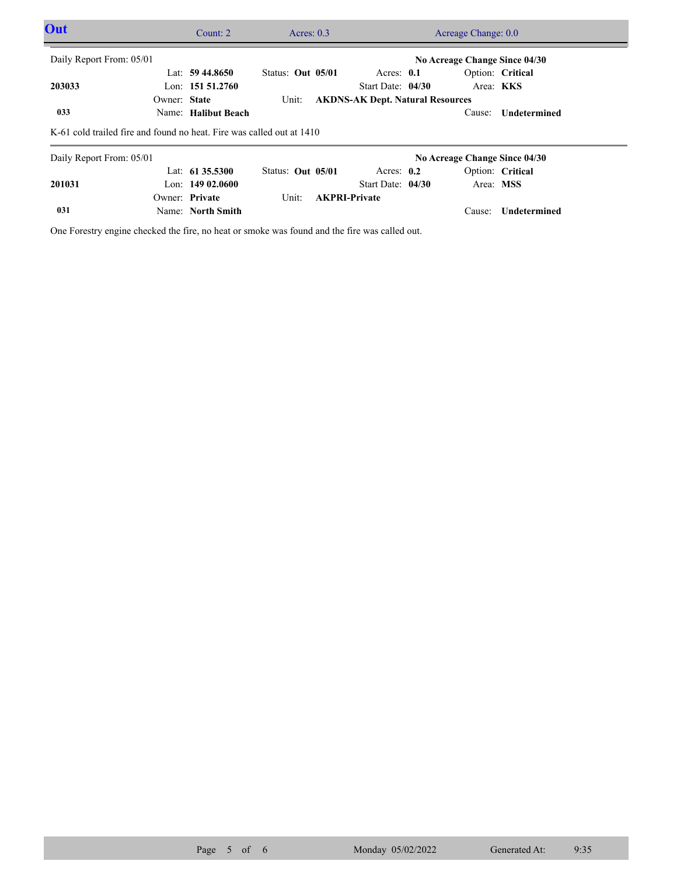| Out                                                                   |              | Count: $2$          |                   | Acres: $0.3$ |  |                                         |  |                               | Acreage Change: 0.0 |  |  |
|-----------------------------------------------------------------------|--------------|---------------------|-------------------|--------------|--|-----------------------------------------|--|-------------------------------|---------------------|--|--|
| Daily Report From: 05/01<br>No Acreage Change Since 04/30             |              |                     |                   |              |  |                                         |  |                               |                     |  |  |
|                                                                       |              | Lat: $59\,44.8650$  | Status: Out 05/01 |              |  | Acres: $0.1$                            |  |                               | Option: Critical    |  |  |
| 203033                                                                |              | Lon: $151\,51.2760$ |                   |              |  | Start Date: 04/30                       |  | Area: KKS                     |                     |  |  |
|                                                                       | Owner: State |                     | Unit:             |              |  | <b>AKDNS-AK Dept. Natural Resources</b> |  |                               |                     |  |  |
| 033                                                                   |              | Name: Halibut Beach |                   |              |  |                                         |  | Cause:                        | Undetermined        |  |  |
| K-61 cold trailed fire and found no heat. Fire was called out at 1410 |              |                     |                   |              |  |                                         |  |                               |                     |  |  |
| Daily Report From: 05/01                                              |              |                     |                   |              |  |                                         |  | No Acreage Change Since 04/30 |                     |  |  |
|                                                                       |              | Lat: 61 35.5300     | Status: Out 05/01 |              |  | Acres: $0.2$                            |  |                               | Option: Critical    |  |  |
| 201031                                                                |              | Lon: $14902.0600$   |                   |              |  | Start Date: 04/30                       |  | Area: MSS                     |                     |  |  |
|                                                                       |              | Owner: Private      | Unit:             |              |  | <b>AKPRI-Private</b>                    |  |                               |                     |  |  |
| 031                                                                   |              | Name: North Smith   |                   |              |  |                                         |  | Cause:                        | Undetermined        |  |  |

One Forestry engine checked the fire, no heat or smoke was found and the fire was called out.